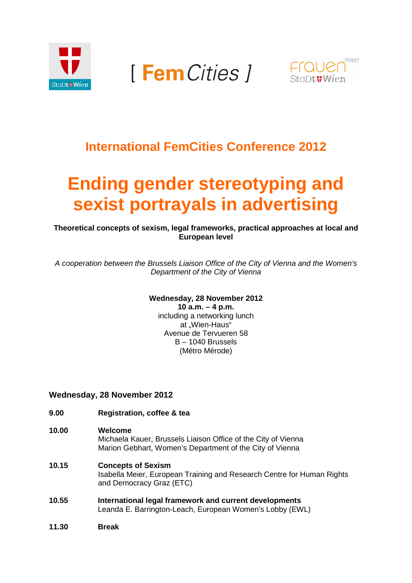

**FemCities 1** 



# **International FemCities Conference 2012**

# **Ending gender stereotyping and sexist portrayals in advertising**

**Theoretical concepts of sexism, legal frameworks, practical approaches at local and European level** 

A cooperation between the Brussels Liaison Office of the City of Vienna and the Women's Department of the City of Vienna

# **Wednesday, 28 November 2012**

**10 a.m. – 4 p.m.**  including a networking lunch at .Wien-Haus" Avenue de Tervueren 58 B – 1040 Brussels (Métro Mérode)

# **Wednesday, 28 November 2012**

- **9.00 Registration, coffee & tea**
- **10.00 Welcome**

#### Michaela Kauer, Brussels Liaison Office of the City of Vienna Marion Gebhart, Women's Department of the City of Vienna

- **10.15 Concepts of Sexism**  Isabella Meier, European Training and Research Centre for Human Rights and Democracy Graz (ETC)
- **10.55 International legal framework and current developments**  Leanda E. Barrington-Leach, European Women's Lobby (EWL)
- **11.30 Break**